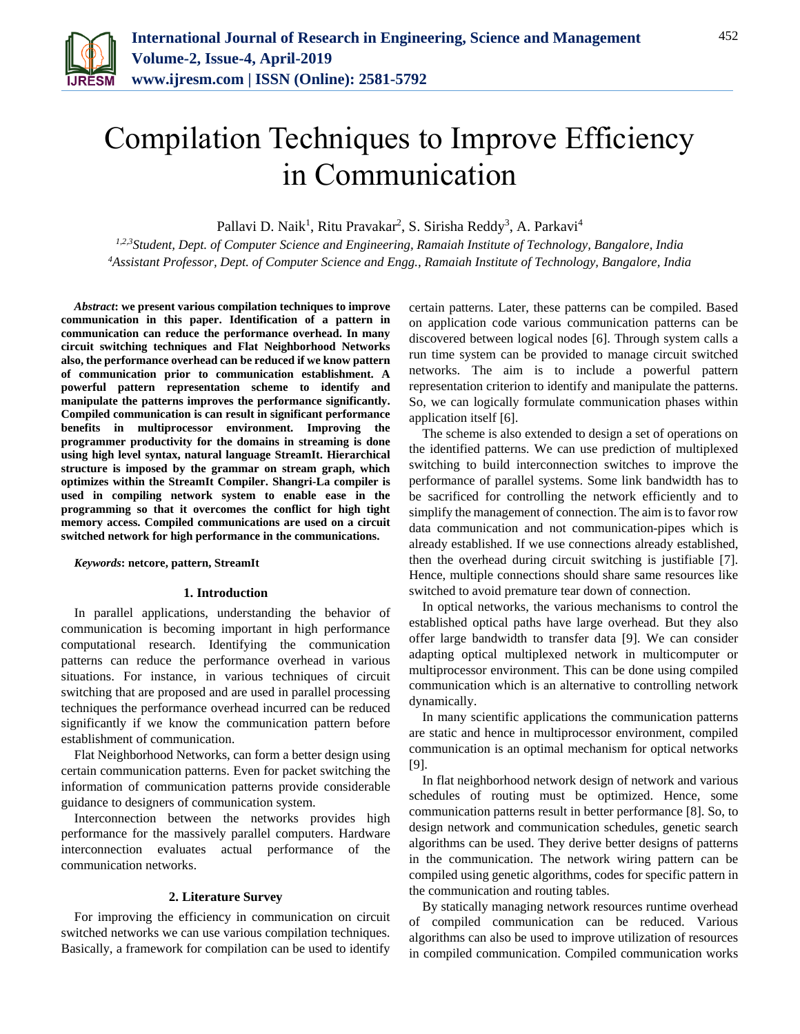

# Compilation Techniques to Improve Efficiency in Communication

Pallavi D. Naik<sup>1</sup>, Ritu Pravakar<sup>2</sup>, S. Sirisha Reddy<sup>3</sup>, A. Parkavi<sup>4</sup>

*1,2,3Student, Dept. of Computer Science and Engineering, Ramaiah Institute of Technology, Bangalore, India 4Assistant Professor, Dept. of Computer Science and Engg., Ramaiah Institute of Technology, Bangalore, India*

*Abstract***: we present various compilation techniques to improve communication in this paper. Identification of a pattern in communication can reduce the performance overhead. In many circuit switching techniques and Flat Neighborhood Networks also, the performance overhead can be reduced if we know pattern of communication prior to communication establishment. A powerful pattern representation scheme to identify and manipulate the patterns improves the performance significantly. Compiled communication is can result in significant performance benefits in multiprocessor environment. Improving the programmer productivity for the domains in streaming is done using high level syntax, natural language StreamIt. Hierarchical structure is imposed by the grammar on stream graph, which optimizes within the StreamIt Compiler. Shangri-La compiler is used in compiling network system to enable ease in the programming so that it overcomes the conflict for high tight memory access. Compiled communications are used on a circuit switched network for high performance in the communications.**

*Keywords***: netcore, pattern, StreamIt**

### **1. Introduction**

In parallel applications, understanding the behavior of communication is becoming important in high performance computational research. Identifying the communication patterns can reduce the performance overhead in various situations. For instance, in various techniques of circuit switching that are proposed and are used in parallel processing techniques the performance overhead incurred can be reduced significantly if we know the communication pattern before establishment of communication.

Flat Neighborhood Networks, can form a better design using certain communication patterns. Even for packet switching the information of communication patterns provide considerable guidance to designers of communication system.

Interconnection between the networks provides high performance for the massively parallel computers. Hardware interconnection evaluates actual performance of the communication networks.

#### **2. Literature Survey**

For improving the efficiency in communication on circuit switched networks we can use various compilation techniques. Basically, a framework for compilation can be used to identify

certain patterns. Later, these patterns can be compiled. Based on application code various communication patterns can be discovered between logical nodes [6]. Through system calls a run time system can be provided to manage circuit switched networks. The aim is to include a powerful pattern representation criterion to identify and manipulate the patterns. So, we can logically formulate communication phases within application itself [6].

The scheme is also extended to design a set of operations on the identified patterns. We can use prediction of multiplexed switching to build interconnection switches to improve the performance of parallel systems. Some link bandwidth has to be sacrificed for controlling the network efficiently and to simplify the management of connection. The aim is to favor row data communication and not communication-pipes which is already established. If we use connections already established, then the overhead during circuit switching is justifiable [7]. Hence, multiple connections should share same resources like switched to avoid premature tear down of connection.

In optical networks, the various mechanisms to control the established optical paths have large overhead. But they also offer large bandwidth to transfer data [9]. We can consider adapting optical multiplexed network in multicomputer or multiprocessor environment. This can be done using compiled communication which is an alternative to controlling network dynamically.

In many scientific applications the communication patterns are static and hence in multiprocessor environment, compiled communication is an optimal mechanism for optical networks [9].

In flat neighborhood network design of network and various schedules of routing must be optimized. Hence, some communication patterns result in better performance [8]. So, to design network and communication schedules, genetic search algorithms can be used. They derive better designs of patterns in the communication. The network wiring pattern can be compiled using genetic algorithms, codes for specific pattern in the communication and routing tables.

By statically managing network resources runtime overhead of compiled communication can be reduced. Various algorithms can also be used to improve utilization of resources in compiled communication. Compiled communication works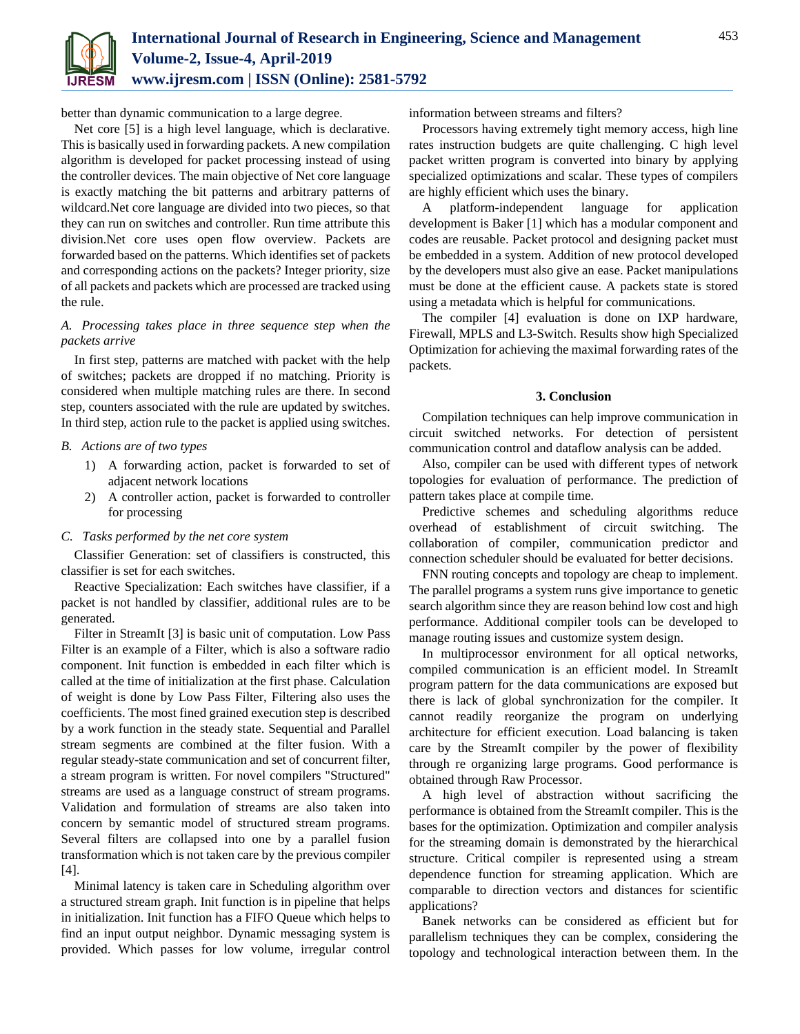

better than dynamic communication to a large degree.

Net core [5] is a high level language, which is declarative. This is basically used in forwarding packets. A new compilation algorithm is developed for packet processing instead of using the controller devices. The main objective of Net core language is exactly matching the bit patterns and arbitrary patterns of wildcard.Net core language are divided into two pieces, so that they can run on switches and controller. Run time attribute this division.Net core uses open flow overview. Packets are forwarded based on the patterns. Which identifies set of packets and corresponding actions on the packets? Integer priority, size of all packets and packets which are processed are tracked using the rule.

# *A. Processing takes place in three sequence step when the packets arrive*

In first step, patterns are matched with packet with the help of switches; packets are dropped if no matching. Priority is considered when multiple matching rules are there. In second step, counters associated with the rule are updated by switches. In third step, action rule to the packet is applied using switches.

# *B. Actions are of two types*

- 1) A forwarding action, packet is forwarded to set of adjacent network locations
- 2) A controller action, packet is forwarded to controller for processing

# *C. Tasks performed by the net core system*

Classifier Generation: set of classifiers is constructed, this classifier is set for each switches.

Reactive Specialization: Each switches have classifier, if a packet is not handled by classifier, additional rules are to be generated.

Filter in StreamIt [3] is basic unit of computation. Low Pass Filter is an example of a Filter, which is also a software radio component. Init function is embedded in each filter which is called at the time of initialization at the first phase. Calculation of weight is done by Low Pass Filter, Filtering also uses the coefficients. The most fined grained execution step is described by a work function in the steady state. Sequential and Parallel stream segments are combined at the filter fusion. With a regular steady-state communication and set of concurrent filter, a stream program is written. For novel compilers "Structured" streams are used as a language construct of stream programs. Validation and formulation of streams are also taken into concern by semantic model of structured stream programs. Several filters are collapsed into one by a parallel fusion transformation which is not taken care by the previous compiler [4].

Minimal latency is taken care in Scheduling algorithm over a structured stream graph. Init function is in pipeline that helps in initialization. Init function has a FIFO Queue which helps to find an input output neighbor. Dynamic messaging system is provided. Which passes for low volume, irregular control information between streams and filters?

Processors having extremely tight memory access, high line rates instruction budgets are quite challenging. C high level packet written program is converted into binary by applying specialized optimizations and scalar. These types of compilers are highly efficient which uses the binary.

A platform-independent language for application development is Baker [1] which has a modular component and codes are reusable. Packet protocol and designing packet must be embedded in a system. Addition of new protocol developed by the developers must also give an ease. Packet manipulations must be done at the efficient cause. A packets state is stored using a metadata which is helpful for communications.

The compiler [4] evaluation is done on IXP hardware, Firewall, MPLS and L3-Switch. Results show high Specialized Optimization for achieving the maximal forwarding rates of the packets.

#### **3. Conclusion**

Compilation techniques can help improve communication in circuit switched networks. For detection of persistent communication control and dataflow analysis can be added.

Also, compiler can be used with different types of network topologies for evaluation of performance. The prediction of pattern takes place at compile time.

Predictive schemes and scheduling algorithms reduce overhead of establishment of circuit switching. The collaboration of compiler, communication predictor and connection scheduler should be evaluated for better decisions.

FNN routing concepts and topology are cheap to implement. The parallel programs a system runs give importance to genetic search algorithm since they are reason behind low cost and high performance. Additional compiler tools can be developed to manage routing issues and customize system design.

In multiprocessor environment for all optical networks, compiled communication is an efficient model. In StreamIt program pattern for the data communications are exposed but there is lack of global synchronization for the compiler. It cannot readily reorganize the program on underlying architecture for efficient execution. Load balancing is taken care by the StreamIt compiler by the power of flexibility through re organizing large programs. Good performance is obtained through Raw Processor.

A high level of abstraction without sacrificing the performance is obtained from the StreamIt compiler. This is the bases for the optimization. Optimization and compiler analysis for the streaming domain is demonstrated by the hierarchical structure. Critical compiler is represented using a stream dependence function for streaming application. Which are comparable to direction vectors and distances for scientific applications?

Banek networks can be considered as efficient but for parallelism techniques they can be complex, considering the topology and technological interaction between them. In the